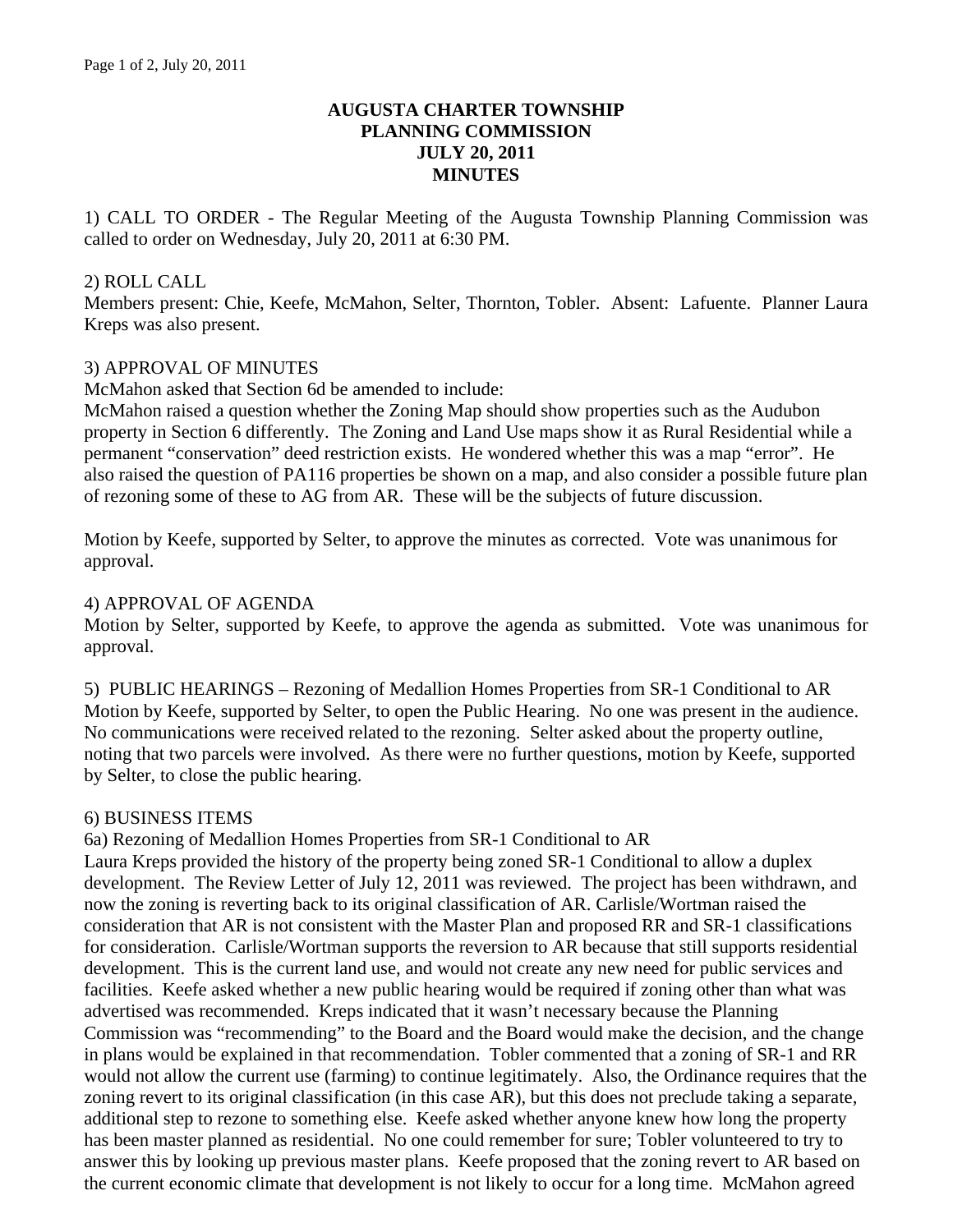## **AUGUSTA CHARTER TOWNSHIP PLANNING COMMISSION JULY 20, 2011 MINUTES**

1) CALL TO ORDER - The Regular Meeting of the Augusta Township Planning Commission was called to order on Wednesday, July 20, 2011 at 6:30 PM.

### 2) ROLL CALL

Members present: Chie, Keefe, McMahon, Selter, Thornton, Tobler. Absent: Lafuente. Planner Laura Kreps was also present.

### 3) APPROVAL OF MINUTES

McMahon asked that Section 6d be amended to include:

McMahon raised a question whether the Zoning Map should show properties such as the Audubon property in Section 6 differently. The Zoning and Land Use maps show it as Rural Residential while a permanent "conservation" deed restriction exists. He wondered whether this was a map "error". He also raised the question of PA116 properties be shown on a map, and also consider a possible future plan of rezoning some of these to AG from AR. These will be the subjects of future discussion.

Motion by Keefe, supported by Selter, to approve the minutes as corrected. Vote was unanimous for approval.

### 4) APPROVAL OF AGENDA

Motion by Selter, supported by Keefe, to approve the agenda as submitted. Vote was unanimous for approval.

5) PUBLIC HEARINGS – Rezoning of Medallion Homes Properties from SR-1 Conditional to AR Motion by Keefe, supported by Selter, to open the Public Hearing. No one was present in the audience. No communications were received related to the rezoning. Selter asked about the property outline, noting that two parcels were involved. As there were no further questions, motion by Keefe, supported by Selter, to close the public hearing.

#### 6) BUSINESS ITEMS

6a) Rezoning of Medallion Homes Properties from SR-1 Conditional to AR

Laura Kreps provided the history of the property being zoned SR-1 Conditional to allow a duplex development. The Review Letter of July 12, 2011 was reviewed. The project has been withdrawn, and now the zoning is reverting back to its original classification of AR. Carlisle/Wortman raised the consideration that AR is not consistent with the Master Plan and proposed RR and SR-1 classifications for consideration. Carlisle/Wortman supports the reversion to AR because that still supports residential development. This is the current land use, and would not create any new need for public services and facilities. Keefe asked whether a new public hearing would be required if zoning other than what was advertised was recommended. Kreps indicated that it wasn't necessary because the Planning Commission was "recommending" to the Board and the Board would make the decision, and the change in plans would be explained in that recommendation. Tobler commented that a zoning of SR-1 and RR would not allow the current use (farming) to continue legitimately. Also, the Ordinance requires that the zoning revert to its original classification (in this case AR), but this does not preclude taking a separate, additional step to rezone to something else. Keefe asked whether anyone knew how long the property has been master planned as residential. No one could remember for sure; Tobler volunteered to try to answer this by looking up previous master plans. Keefe proposed that the zoning revert to AR based on the current economic climate that development is not likely to occur for a long time. McMahon agreed